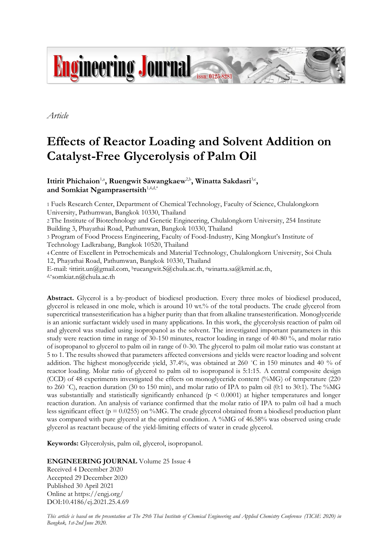

*Article*

# **Effects of Reactor Loading and Solvent Addition on Catalyst-Free Glycerolysis of Palm Oil**

Ittirit Phichaion<sup>1,a</sup>, Ruengwit Sawangkaew<sup>2,b</sup>, Winatta Sakdasri<sup>3,c</sup>, and Somkiat Ngamprasertsith<sup>1,4,d,\*</sup>

1 Fuels Research Center, Department of Chemical Technology, Faculty of Science, Chulalongkorn University, Pathumwan, Bangkok 10330, Thailand 2 The Institute of Biotechnology and Genetic Engineering, Chulalongkorn University, 254 Institute Building 3, Phayathai Road, Pathumwan, Bangkok 10330, Thailand 3 Program of Food Process Engineering, Faculty of Food-Industry, King Mongkut's Institute of Technology Ladkrabang, Bangkok 10520, Thailand 4 Centre of Excellent in Petrochemicals and Material Technology, Chulalongkorn University, Soi Chula 12, Phayathai Road, Pathumwan, Bangkok 10330, Thailand E-mail: <sup>a</sup>ittirit.un@gmail.com, <sup>b</sup>rueangwit.S@chula.ac.th, cwinatta.sa@kmitl.ac.th, d,\*somkiat.n@chula.ac.th

**Abstract.** Glycerol is a by-product of biodiesel production. Every three moles of biodiesel produced, glycerol is released in one mole, which is around 10 wt.% of the total products. The crude glycerol from supercritical transesterification has a higher purity than that from alkaline transesterification. Monoglyceride is an anionic surfactant widely used in many applications. In this work, the glycerolysis reaction of palm oil and glycerol was studied using isopropanol as the solvent. The investigated important parameters in this study were reaction time in range of 30-150 minutes, reactor loading in range of 40-80 %, and molar ratio of isopropanol to glycerol to palm oil in range of 0-30. The glycerol to palm oil molar ratio was constant at 5 to 1. The results showed that parameters affected conversions and yields were reactor loading and solvent addition. The highest monoglyceride yield, 37.4%, was obtained at 260 ˚C in 150 minutes and 40 % of reactor loading. Molar ratio of glycerol to palm oil to isopropanol is 5:1:15. A central composite design (CCD) of 48 experiments investigated the effects on monoglyceride content (%MG) of temperature (220 to 260 ˚C), reaction duration (30 to 150 min), and molar ratio of IPA to palm oil (0:1 to 30:1). The %MG was substantially and statistically significantly enhanced ( $p \leq 0.0001$ ) at higher temperatures and longer reaction duration. An analysis of variance confirmed that the molar ratio of IPA to palm oil had a much less significant effect ( $p = 0.0255$ ) on %MG. The crude glycerol obtained from a biodiesel production plant was compared with pure glycerol at the optimal condition. A %MG of 46.58% was observed using crude glycerol as reactant because of the yield-limiting effects of water in crude glycerol.

**Keywords:** Glycerolysis, palm oil, glycerol, isopropanol.

# **ENGINEERING JOURNAL** Volume 25 Issue 4

Received 4 December 2020 Accepted 29 December 2020 Published 30 April 2021 Online at https://engj.org/ DOI:10.4186/ej.2021.25.4.69

*This article is based on the presentation at The 29th Thai Institute of Chemical Engineering and Applied Chemistry Conference (TIChE 2020) in Bangkok, 1st-2nd June 2020.*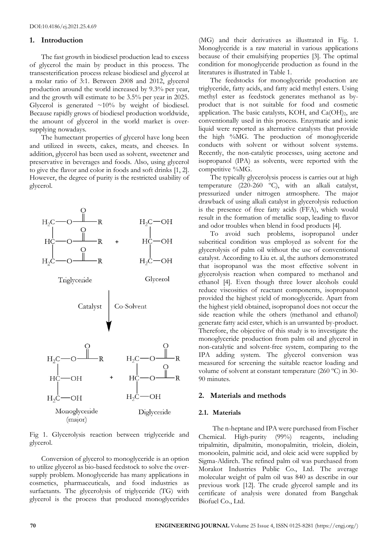## **1. Introduction**

The fast growth in biodiesel production lead to excess of glycerol the main by product in this process. The transesterification process release biodiesel and glycerol at a molar ratio of 3:1. Between 2008 and 2012, glycerol production around the world increased by 9.3% per year, and the growth will estimate to be 3.5% per year in 2025. Glycerol is generated  $\sim 10\%$  by weight of biodiesel. Because rapidly grows of biodiesel production worldwide, the amount of glycerol in the world market is oversupplying nowadays.

The humectant properties of glycerol have long been and utilized in sweets, cakes, meats, and cheeses. In addition, glycerol has been used as solvent, sweetener and preservative in beverages and foods. Also, using glycerol to give the flavor and color in foods and soft drinks [1, 2]. However, the degree of purity is the restricted usability of glycerol.



Fig 1. Glycerolysis reaction between triglyceride and glycerol.

Conversion of glycerol to monoglyceride is an option to utilize glycerol as bio-based feedstock to solve the oversupply problem. Monoglyceride has many applications in cosmetics, pharmaceuticals, and food industries as surfactants. The glycerolysis of triglyceride (TG) with glycerol is the process that produced monoglycerides

(MG) and their derivatives as illustrated in Fig. 1. Monoglyceride is a raw material in various applications because of their emulsifying properties [3]. The optimal condition for monoglyceride production as found in the literatures is illustrated in Table 1.

The feedstocks for monoglyceride production are triglyceride, fatty acids, and fatty acid methyl esters. Using methyl ester as feedstock generates methanol as byproduct that is not suitable for food and cosmetic application. The basic catalysts, KOH, and  $Ca(OH)_2$ , are conventionally used in this process. Enzymatic and ionic liquid were reported as alternative catalysts that provide the high %MG. The production of monoglyceride conducts with solvent or without solvent systems. Recently, the non-catalytic processes, using acetone and isopropanol (IPA) as solvents, were reported with the competitive %MG.

The typically glycerolysis process is carries out at high temperature (220-260 ºC), with an alkali catalyst, pressurized under nitrogen atmosphere. The major drawback of using alkali catalyst in glycerolysis reduction is the presence of free fatty acids (FFA), which would result in the formation of metallic soap, leading to flavor and odor troubles when blend in food products [4].

To avoid such problems, isopropanol under subcritical condition was employed as solvent for the glycerolysis of palm oil without the use of conventional catalyst. According to Liu et. al, the authors demonstrated that isopropanol was the most effective solvent in glycerolysis reaction when compared to methanol and ethanol [4]. Even though three lower alcohols could reduce viscosities of reactant components, isopropanol provided the highest yield of monoglyceride. Apart from the highest yield obtained, isopropanol does not occur the side reaction while the others (methanol and ethanol) generate fatty acid ester, which is an unwanted by-product. Therefore, the objective of this study is to investigate the monoglyceride production from palm oil and glycerol in non-catalytic and solvent-free system, comparing to the IPA adding system. The glycerol conversion was measured for screening the suitable reactor loading and volume of solvent at constant temperature (260 ºC) in 30- 90 minutes.

# **2. Materials and methods**

# **2.1. Materials**

The n-heptane and IPA were purchased from Fischer Chemical. High-purity (99%) reagents, including tripalmitin, dipalmitin, monopalmitin, triolein, diolein, monoolein, palmitic acid, and oleic acid were supplied by Sigma-Aldirch. The refined palm oil was purchased from Morakot Industries Public Co., Ltd. The average molecular weight of palm oil was 840 as describe in our previous work [12]. The crude glycerol sample and its certificate of analysis were donated from Bangchak Biofuel Co., Ltd.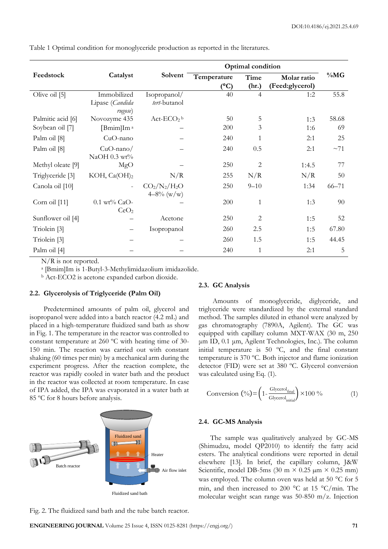|                             | Optimal condition          |               |               |                |                 |           |
|-----------------------------|----------------------------|---------------|---------------|----------------|-----------------|-----------|
| Feedstock                   | Catalyst                   | Solvent       | Temperature   | Time           | Molar ratio     | $\%MG$    |
|                             |                            |               | $(^{\circ}C)$ | (hr.)          | (Feed:glycerol) |           |
| Olive oil [5]               | Immobilized                | Isopropanol/  | 40            | $\overline{4}$ | 1:2             | 55.8      |
|                             | Lipase (Candida<br>rugose) | tert-butanol  |               |                |                 |           |
| Palmitic acid [6]           | Novozyme 435               | $Act-ECO2 b$  | 50            | 5              | 1:3             | 58.68     |
| Soybean oil [7]             | [Bmim]Im <sup>a</sup>      |               | 200           | 3              | 1:6             | 69        |
| Palm oil [8]                | CuO-nano                   |               | 240           | 1              | 2:1             | 25        |
| Palm oil [8]                | $CuO$ -nano/               |               | 240           | 0.5            | 2:1             | ~1        |
|                             | NaOH $0.3$ wt%             |               |               |                |                 |           |
| Methyl oleate [9]           | MgO                        |               | 250           | 2              | 1:4.5           | 77        |
| Triglyceride <sup>[3]</sup> | KOH, Ca(OH) <sub>2</sub>   | N/R           | 255           | N/R            | N/R             | 50        |
| Canola oil [10]             |                            | $CO2/N2/H2O$  | 250           | $9 - 10$       | 1:34            | $66 - 71$ |
|                             |                            | $4-8\%$ (w/w) |               |                |                 |           |
| Corn oil [11]               | $0.1$ wt% CaO-             |               | 200           | $\mathbf{1}$   | 1:3             | 90        |
|                             | CeO <sub>2</sub>           |               |               |                |                 |           |
| Sunflower oil [4]           |                            | Acetone       | 250           | 2              | 1:5             | 52        |
| Triolein [3]                |                            | Isopropanol   | 260           | 2.5            | 1:5             | 67.80     |
| Triolein [3]                |                            |               | 260           | 1.5            | 1:5             | 44.45     |
| Palm oil [4]                |                            |               | 240           | $\mathbf{1}$   | 2:1             | 5         |

Table 1 Optimal condition for monoglyceride production as reported in the literatures.

N/R is not reported.

a [Bmim]Im is 1-Butyl-3-Methylimidazolium imidazolide.

<sup>b</sup> Act-ECO2 is acetone expanded carbon dioxide.

## **2.2. Glycerolysis of Triglyceride (Palm Oil)**

Predetermined amounts of palm oil, glycerol and isopropanol were added into a batch reactor (4.2 mL) and placed in a high-temperature fluidized sand bath as show in Fig. 1. The temperature in the reactor was controlled to constant temperature at 260 ºC with heating time of 30- 150 min. The reaction was carried out with constant shaking (60 times per min) by a mechanical arm during the experiment progress. After the reaction complete, the reactor was rapidly cooled in water bath and the product in the reactor was collected at room temperature. In case of IPA added, the IPA was evaporated in a water bath at 85 ºC for 8 hours before analysis.



Fig. 2. The fluidized sand bath and the tube batch reactor.

#### **2.3. GC Analysis**

Amounts of monoglyceride, diglyceride, and triglyceride were standardized by the external standard method. The samples diluted in ethanol were analyzed by gas chromatography (7890A, Agilent). The GC was equipped with capillary column MXT-WAX (30 m, 250 μm ID, 0.1 μm, Agilent Technologies, Inc.). The column initial temperature is 50 ºC, and the final constant temperature is 370 ºC. Both injector and flame ionization detector (FID) were set at 380 ºC. Glycerol conversion was calculated using Eq. (1).

$$
Conversion\left(\frac{\text{0}}{\text{o}}\right) = \left(1 - \frac{Glycerol_{final}}{Glycerol_{initial}}\right) \times 100\,\,\frac{\text{o}}{\text{o}}\tag{1}
$$

#### **2.4. GC-MS Analysis**

The sample was qualitatively analyzed by GC-MS (Shimudzu, model QP2010) to identify the fatty acid esters. The analytical conditions were reported in detail elsewhere [13]. In brief, the capillary column, J&W Scientific, model DB-5ms (30 m  $\times$  0.25  $\mu$ m  $\times$  0.25 mm) was employed. The column oven was held at 50  $^{\circ}$ C for 5 min, and then increased to 200  $^{\circ}$ C at 15  $^{\circ}$ C/min. The molecular weight scan range was 50-850 m/z. Injection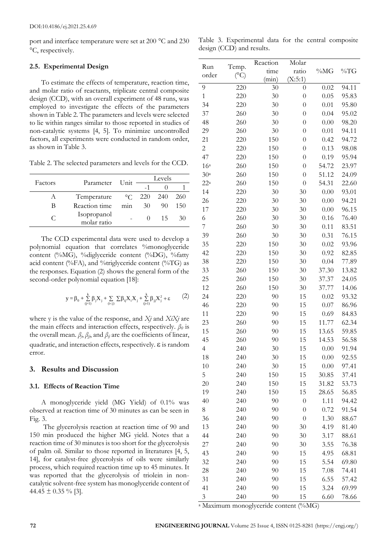port and interface temperature were set at 200  $^{\circ}$ C and 230 °C, respectively.

Table 3. Experimental data for the central composite design (CCD) and results.

## **2.5. Experimental Design**

To estimate the effects of temperature, reaction time, and molar ratio of reactants, triplicate central composite design (CCD), with an overall experiment of 48 runs, was employed to investigate the effects of the parameters shown in Table 2. The parameters and levels were selected to lie within ranges similar to those reported in studies of non-catalytic systems [4, 5]. To minimize uncontrolled factors, all experiments were conducted in random order, as shown in Table 3.

Table 2. The selected parameters and levels for the CCD.

| Factors |                            |     | Levels              |    |            |
|---------|----------------------------|-----|---------------------|----|------------|
|         | Parameter Unit             |     |                     |    |            |
|         | Temperature                |     | $\degree$ C 220 240 |    | <b>260</b> |
| В       | Reaction time              | mnn | 30                  | 90 | 150        |
|         | Isopropanol<br>molar ratio |     |                     | 15 |            |

The CCD experimental data were used to develop a polynomial equation that correlates %monoglyceride content (%MG), %diglyceride content (%DG), %fatty acid content (%FA), and %triglyceride content (%TG) as the responses. Equation (2) shows the general form of the second-order polynomial equation [18]:

$$
y=\beta_0+\sum\limits_{(j=1)}^k\beta_jX_j+\sum\limits_{(i
$$

where y is the value of the response, and *Xj* and *XiXj* are the main effects and interaction effects, respectively. *β<sup>0</sup>* is the overall mean.  $\beta_j$ ,  $\beta_{jj}$ , and  $\beta_{ij}$  are the coefficients of linear, quadratic, and interaction effects, respectively.  $\varepsilon$  is random error.

# **3. Results and Discussion**

## **3.1. Effects of Reaction Time**

A monoglyceride yield (MG Yield) of 0.1% was observed at reaction time of 30 minutes as can be seen in Fig. 3.

The glycerolysis reaction at reaction time of 90 and 150 min produced the higher MG yield. Notes that a reaction time of 30 minutes is too short for the glycerolysis of palm oil. Similar to those reported in literatures [4, 5, 14], for catalyst-free glycerolysis of oils were similarly process, which required reaction time up to 45 minutes. It was reported that the glycerolysis of triolein in noncatalytic solvent-free system has monoglyceride content of 44.45  $\pm$  0.35 % [3].

|                   |                        | Reaction | Molar            |       |       |
|-------------------|------------------------|----------|------------------|-------|-------|
| Run<br>order      | Temp.<br>$(^{\circ}C)$ | time     | ratio            | %MG   | %TG   |
|                   |                        | (min)    | (X:5:1)          |       |       |
| 9                 | 220                    | 30       | $\boldsymbol{0}$ | 0.02  | 94.11 |
| $\mathbf{1}$      | 220                    | 30       | $\overline{0}$   | 0.05  | 95.83 |
| 34                | 220                    | 30       | $\theta$         | 0.01  | 95.80 |
| 37                | 260                    | 30       | $\boldsymbol{0}$ | 0.04  | 95.02 |
| 48                | 260                    | 30       | $\theta$         | 0.00  | 98.20 |
| 29                | 260                    | 30       | $\overline{0}$   | 0.01  | 94.11 |
| 21                | 220                    | 150      | $\theta$         | 0.42  | 94.72 |
| $\mathbf{2}$      | 220                    | 150      | $\theta$         | 0.13  | 98.08 |
| 47                | 220                    | 150      | $\theta$         | 0.19  | 95.94 |
| 16 <sup>a</sup>   | 260                    | 150      | $\theta$         | 54.72 | 23.97 |
| 30a               | 260                    | 150      | $\theta$         | 51.12 | 24.09 |
| $22^{\mathrm{a}}$ | 260                    | 150      | $\theta$         | 54.31 | 22.60 |
| 14                | 220                    | 30       | 30               | 0.00  | 93.01 |
| 26                | 220                    | 30       | 30               | 0.00  | 94.21 |
| 17                | 220                    | 30       | 30               | 0.00  | 96.15 |
| 6                 | 260                    | 30       | 30               | 0.16  | 76.40 |
| 7                 | 260                    | 30       | 30               | 0.11  | 83.51 |
| 39                | 260                    | 30       | 30               | 0.31  | 76.15 |
| 35                | 220                    | 150      | 30               | 0.02  | 93.96 |
| 42                | 220                    | 150      | 30               | 0.92  | 82.85 |
| 38                | 220                    | 150      | 30               | 0.04  | 77.89 |
| 33                | 260                    | 150      | 30               | 37.30 | 13.82 |
| 25                | 260                    | 150      | 30               | 37.37 | 24.05 |
| 12                | 260                    | 150      | 30               | 37.77 | 14.06 |
| 24                | 220                    | 90       | 15               | 0.02  | 93.32 |
| 46                | 220                    | 90       | 15               | 0.07  | 86.96 |
| 11                | 220                    | 90       | 15               | 0.69  | 84.83 |
| 23                | 260                    | 90       | 15               | 11.77 | 62.34 |
| 15                | 260                    | 90       | 15               | 13.65 | 59.85 |
| 45                | 260                    | 90       | 15               | 14.53 | 56.58 |
| 4                 | 240                    | 30       | 15               | 0.00  | 91.94 |
| 18                | 240                    | 30       | 15               | 0.00  | 92.55 |
| 10                | 240                    | 30       | 15               | 0.00  | 97.41 |
| 5                 | 240                    | 150      | 15               | 30.85 | 37.41 |
| 20                | 240                    | 150      | 15               | 31.82 | 53.73 |
| 19                | 240                    | 150      | 15               | 28.65 | 56.85 |
| 40                | 240                    | 90       | $\boldsymbol{0}$ | 1.11  | 94.42 |
| 8                 | 240                    | 90       | $\overline{0}$   | 0.72  | 91.54 |
| 36                | 240                    | 90       | $\boldsymbol{0}$ | 1.30  | 88.67 |
| 13                | 240                    | 90       | 30               | 4.19  | 81.40 |
| 44                | 240                    | 90       | 30               | 3.17  | 88.61 |
| 27                | 240                    | 90       | 30               | 3.55  | 76.38 |
| 43                | 240                    | 90       | 15               | 4.95  | 68.81 |
| 32                | 240                    | 90       | 15               | 5.54  | 69.80 |
| 28                | 240                    | 90       | 15               | 7.08  | 74.41 |
| 31                | 240                    | 90       | 15               | 6.55  | 57.42 |
| 41                | 240                    | 90       | 15               | 3.24  | 69.99 |
| 3                 | 240                    | 90       | 15               | 6.60  | 78.66 |

<sup>a</sup> Maximum monoglyceride content (%MG)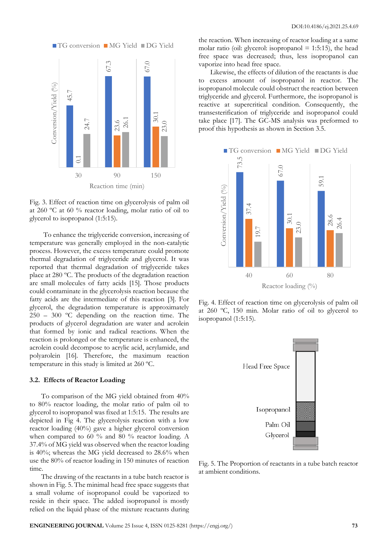

Fig. 3. Effect of reaction time on glycerolysis of palm oil at 260 ºC at 60 % reactor loading, molar ratio of oil to glycerol to isopropanol (1:5:15).

To enhance the triglyceride conversion, increasing of temperature was generally employed in the non-catalytic process. However, the excess temperature could promote thermal degradation of triglyceride and glycerol. It was reported that thermal degradation of triglyceride takes place at 280 ºC. The products of the degradation reaction are small molecules of fatty acids [15]. Those products could contaminate in the glycerolysis reaction because the fatty acids are the intermediate of this reaction [3]. For glycerol, the degradation temperature is approximately 250 – 300 ºC depending on the reaction time. The products of glycerol degradation are water and acrolein that formed by ionic and radical reactions. When the reaction is prolonged or the temperature is enhanced, the acrolein could decompose to acrylic acid, acrylamide, and polyarolein [16]. Therefore, the maximum reaction temperature in this study is limited at 260 ºC.

### **3.2. Effects of Reactor Loading**

To comparison of the MG yield obtained from 40% to 80% reactor loading, the molar ratio of palm oil to glycerol to isopropanol was fixed at 1:5:15. The results are depicted in Fig 4. The glycerolysis reaction with a low reactor loading (40%) gave a higher glycerol conversion when compared to 60 % and 80 % reactor loading. A 37.4% of MG yield was observed when the reactor loading is 40%; whereas the MG yield decreased to 28.6% when use the 80% of reactor loading in 150 minutes of reaction time.

The drawing of the reactants in a tube batch reactor is shown in Fig. 5. The minimal head free space suggests that a small volume of isopropanol could be vaporized to reside in their space. The added isopropanol is mostly relied on the liquid phase of the mixture reactants during

the reaction. When increasing of reactor loading at a same molar ratio (oil: glycerol: isopropanol  $= 1:5:15$ ), the head free space was decreased; thus, less isopropanol can vaporize into head free space.

Likewise, the effects of dilution of the reactants is due to excess amount of isopropanol in reactor. The isopropanol molecule could obstruct the reaction between triglyceride and glycerol. Furthermore, the isopropanol is reactive at supercritical condition. Consequently, the transesterification of triglyceride and isopropanol could take place [17]. The GC-MS analysis was preformed to proof this hypothesis as shown in Section 3.5.



Fig. 4. Effect of reaction time on glycerolysis of palm oil at 260 ºC, 150 min. Molar ratio of oil to glycerol to isopropanol (1:5:15).



Fig. 5. The Proportion of reactants in a tube batch reactor at ambient conditions.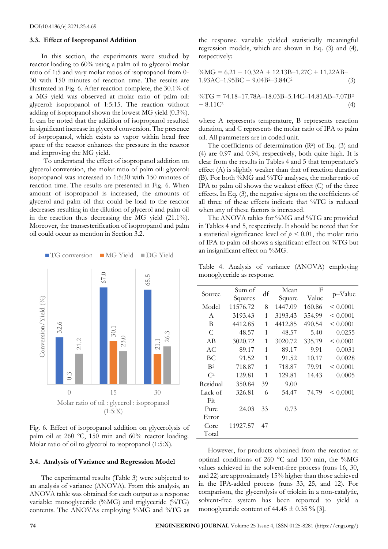### **3.3. Effect of Isopropanol Addition**

In this section, the experiments were studied by reactor loading to 60% using a palm oil to glycerol molar ratio of 1:5 and vary molar ratios of isopropanol from 0- 30 with 150 minutes of reaction time. The results are illustrated in Fig. 6. After reaction complete, the 30.1% of a MG yield was observed at molar ratio of palm oil: glycerol: isopropanol of 1:5:15. The reaction without adding of isopropanol shown the lowest MG yield (0.3%). It can be noted that the addition of isopropanol resulted in significant increase in glycerol conversion. The presence of isopropanol, which exists as vapor within head free space of the reactor enhances the pressure in the reactor and improving the MG yield.

To understand the effect of isopropanol addition on glycerol conversion, the molar ratio of palm oil: glycerol: isopropanol was increased to 1:5:30 with 150 minutes of reaction time. The results are presented in Fig. 6. When amount of isopropanol is increased, the amounts of glycerol and palm oil that could be load to the reactor decreases resulting in the dilution of glycerol and palm oil in the reaction thus decreasing the MG yield (21.1%). Moreover, the transesterification of isopropanol and palm oil could occur as mention in Section 3.2.



Fig. 6. Effect of isopropanol addition on glycerolysis of palm oil at 260 ºC, 150 min and 60% reactor loading. Molar ratio of oil to glycerol to isopropanol (1:5:X).

#### **3.4. Analysis of Variance and Regression Model**

The experimental results (Table 3) were subjected to an analysis of variance (ANOVA). From this analysis, an ANOVA table was obtained for each output as a response variable: monoglyceride (%MG) and triglyceride (%TG) contents. The ANOVAs employing %MG and %TG as

the response variable yielded statistically meaningful regression models, which are shown in Eq. (3) and (4), respectively:

$$
\%MG = 6.21 + 10.32A + 12.13B - 1.27C + 11.22AB - 1.93AC - 1.95BC + 9.04B^2 - 3.84C^2
$$
 (3)

$$
\% TG = 74.18 - 17.78A - 18.03B - 5.14C - 14.81AB - 7.07B^2
$$
  
+ 8.11C<sup>2</sup> (4)

where A represents temperature, B represents reaction duration, and C represents the molar ratio of IPA to palm oil. All parameters are in coded unit.

The coefficients of determination  $(R^2)$  of Eq. (3) and (4) are 0.97 and 0.94, respectively, both quite high. It is clear from the results in Tables 4 and 5 that temperature's effect (A) is slightly weaker than that of reaction duration (B). For both %MG and %TG analyses, the molar ratio of IPA to palm oil shows the weakest effect  $(C)$  of the three effects. In Eq. (3), the negative signs on the coefficients of all three of these effects indicate that %TG is reduced when any of these factors is increased.

The ANOVA tables for %MG and %TG are provided in Tables 4 and 5, respectively. It should be noted that for a statistical significance level of  $p < 0.01$ , the molar ratio of IPA to palm oil shows a significant effect on %TG but an insignificant effect on %MG.

Table 4. Analysis of variance (ANOVA) employing monoglyceride as response.

| Source         | Sum of<br>Squares | df | Mean<br>Square | F<br>Value | p-Value       |
|----------------|-------------------|----|----------------|------------|---------------|
| Model          | 11576.72          | 8  | 1447.09        | 160.86     | $\leq 0.0001$ |
| A              | 3193.43           | 1  | 3193.43        | 354.99     | $\leq 0.0001$ |
| B              | 4412.85           | 1  | 4412.85        | 490.54     | $\leq 0.0001$ |
| C              | 48.57             | 1  | 48.57          | 5.40       | 0.0255        |
| AB             | 3020.72           | 1  | 3020.72        | 335.79     | $\leq 0.0001$ |
| AC.            | 89.17             | 1  | 89.17          | 9.91       | 0.0031        |
| BС             | 91.52             | 1  | 91.52          | 10.17      | 0.0028        |
| B <sup>2</sup> | 718.87            | 1  | 718.87         | 79.91      | $\leq 0.0001$ |
| $\mathbb{C}^2$ | 129.81            | 1  | 129.81         | 14.43      | 0.0005        |
| Residual       | 350.84            | 39 | 9.00           |            |               |
| Lack of        | 326.81            | 6  | 54.47          | 74.79      | $\leq 0.0001$ |
| Fit            |                   |    |                |            |               |
| Pure           | 24.03             | 33 | 0.73           |            |               |
| Error          |                   |    |                |            |               |
| Core           | 11927.57          | 47 |                |            |               |
| Total          |                   |    |                |            |               |

However, for products obtained from the reaction at optimal conditions of 260 C and 150 min, the %MG values achieved in the solvent-free process (runs 16, 30, and 22) are approximately 15% higher than those achieved in the IPA-added process (runs 33, 25, and 12). For comparison, the glycerolysis of triolein in a non-catalytic, solvent-free system has been reported to yield a monoglyceride content of  $44.45 \pm 0.35$  % [3].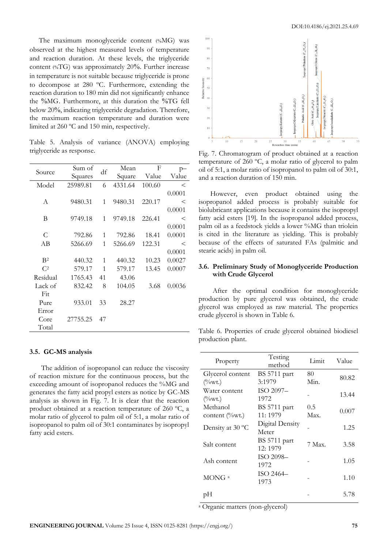The maximum monoglyceride content (%MG) was observed at the highest measured levels of temperature and reaction duration. At these levels, the triglyceride content (%TG) was approximately 20%. Further increase in temperature is not suitable because triglyceride is prone to decompose at 280 ºC. Furthermore, extending the reaction duration to 180 min did not significantly enhance the %MG. Furthermore, at this duration the %TG fell below 20%, indicating triglyceride degradation. Therefore, the maximum reaction temperature and duration were limited at 260 ºC and 150 min, respectively.

Table 5. Analysis of variance (ANOVA) employing triglyceride as response.

| Source         | Sum of   | df | Mean    | F      | p–      |
|----------------|----------|----|---------|--------|---------|
|                | Squares  |    | Square  | Value  | Value   |
| Model          | 25989.81 | 6  | 4331.64 | 100.60 | $\,<\,$ |
|                |          |    |         |        | 0.0001  |
| A              | 9480.31  | 1  | 9480.31 | 220.17 | $\,<\,$ |
|                |          |    |         |        | 0.0001  |
| B              | 9749.18  | 1  | 9749.18 | 226.41 | $\,<\,$ |
|                |          |    |         |        | 0.0001  |
| C              | 792.86   | 1  | 792.86  | 18.41  | 0.0001  |
| AB             | 5266.69  | 1  | 5266.69 | 122.31 | $\,<$   |
|                |          |    |         |        | 0.0001  |
| B <sup>2</sup> | 440.32   | 1  | 440.32  | 10.23  | 0.0027  |
| C <sup>2</sup> | 579.17   | 1  | 579.17  | 13.45  | 0.0007  |
| Residual       | 1765.43  | 41 | 43.06   |        |         |
| Lack of        | 832.42   | 8  | 104.05  | 3.68   | 0.0036  |
| Fit            |          |    |         |        |         |
| Pure           | 933.01   | 33 | 28.27   |        |         |
| Error          |          |    |         |        |         |
| Core           | 27755.25 | 47 |         |        |         |
| Total          |          |    |         |        |         |

#### **3.5. GC-MS analysis**

The addition of isopropanol can reduce the viscosity of reaction mixture for the continuous process, but the exceeding amount of isopropanol reduces the %MG and generates the fatty acid propyl esters as notice by GC-MS analysis as shown in Fig. 7. It is clear that the reaction product obtained at a reaction temperature of 260 ºC, a molar ratio of glycerol to palm oil of 5:1, a molar ratio of isopropanol to palm oil of 30:1 contaminates by isopropyl fatty acid esters.



Fig. 7. Chromatogram of product obtained at a reaction temperature of 260 ºC, a molar ratio of glycerol to palm oil of 5:1, a molar ratio of isopropanol to palm oil of 30:1, and a reaction duration of 150 min.

However, even product obtained using the isopropanol added process is probably suitable for biolubricant applications because it contains the isopropyl fatty acid esters [19]. In the isopropanol added process, palm oil as a feedstock yields a lower %MG than triolein is cited in the literature as yielding. This is probably because of the effects of saturated FAs (palmitic and stearic acids) in palm oil.

## **3.6. Preliminary Study of Monoglyceride Production with Crude Glycerol**

After the optimal condition for monoglyceride production by pure glycerol was obtained, the crude glycerol was employed as raw material. The properties crude glycerol is shown in Table 6.

Table 6. Properties of crude glycerol obtained biodiesel production plant.

| Property                                 | Testing<br>method   | Limit  | Value |  |
|------------------------------------------|---------------------|--------|-------|--|
| Glycerol content                         | BS 5711 part        | 80     | 80.82 |  |
| $\frac{\textdegree}{\textdegree}$ (%wt.) | 3:1979              | Min.   |       |  |
| Water content                            | ISO 2097-           |        | 13.44 |  |
| $\frac{\textdegree}{\textdegree}$ (%wt.) | 1972                |        |       |  |
| Methanol                                 | <b>BS</b> 5711 part | 0.5    |       |  |
| content (%wt.)                           | 11:1979             | Max.   | 0.007 |  |
|                                          | Digital Density     |        | 1.25  |  |
| Density at 30 °C                         | Meter               |        |       |  |
|                                          | <b>BS</b> 5711 part |        |       |  |
| Salt content                             | 12:1979             | 7 Max. | 3.58  |  |
|                                          | ISO 2098-           |        |       |  |
| Ash content                              | 1972                |        | 1.05  |  |
|                                          | ISO 2464-           |        |       |  |
| MONG <sup>a</sup>                        | 1973                |        | 1.10  |  |
|                                          |                     |        |       |  |
| pН                                       |                     |        | 5.78  |  |
|                                          |                     |        |       |  |

<sup>a</sup> Organic matters (non-glycerol)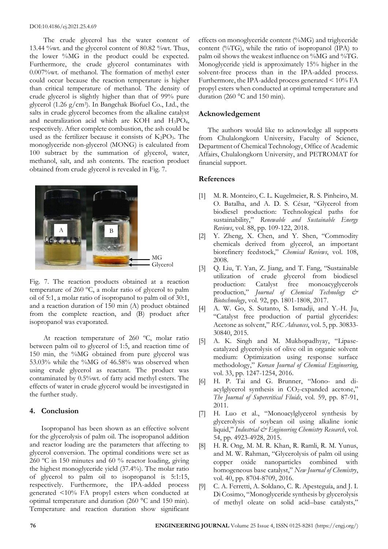The crude glycerol has the water content of 13.44 %wt. and the glycerol content of 80.82 %wt. Thus, the lower %MG in the product could be expected. Furthermore, the crude glycerol contaminates with 0.007%wt. of methanol. The formation of methyl ester could occur because the reaction temperature is higher than critical temperature of methanol. The density of crude glycerol is slightly higher than that of 99% pure glycerol (1.26 g/cm<sup>3</sup> ). In Bangchak Biofuel Co., Ltd., the salts in crude glycerol becomes from the alkaline catalyst and neutralization acid which are KOH and H3PO4, respectively. After complete combustion, the ash could be used as the fertilizer because it consists of  $K_2PO_3$ . The monoglyceride non-glycerol (MONG) is calculated from 100 subtract by the summation of glycerol, water, methanol, salt, and ash contents. The reaction product obtained from crude glycerol is revealed in Fig. 7.



Fig. 7. The reaction products obtained at a reaction temperature of 260 ºC, a molar ratio of glycerol to palm oil of 5:1, a molar ratio of isopropanol to palm oil of 30:1, and a reaction duration of 150 min (A) product obtained from the complete reaction, and (B) product after isopropanol was evaporated.

At reaction temperature of 260 ºC, molar ratio between palm oil to glycerol of 1:5, and reaction time of 150 min, the %MG obtained from pure glycerol was 53.03% while the %MG of 46.58% was observed when using crude glycerol as reactant. The product was contaminated by 0.5%wt. of fatty acid methyl esters. The effects of water in crude glycerol would be investigated in the further study.

# **4. Conclusion**

Isopropanol has been shown as an effective solvent for the glycerolysis of palm oil. The isopropanol addition and reactor loading are the parameters that affecting to glycerol conversion. The optimal conditions were set as 260 ºC in 150 minutes and 60 % reactor loading, giving the highest monoglyceride yield (37.4%). The molar ratio of glycerol to palm oil to isopropanol is 5:1:15, respectively. Furthermore, the IPA-added process generated <10% FA propyl esters when conducted at optimal temperature and duration (260 °C and 150 min). Temperature and reaction duration show significant effects on monoglyceride content (%MG) and triglyceride content (%TG), while the ratio of isopropanol (IPA) to palm oil shows the weakest influence on %MG and %TG. Monoglyceride yield is approximately 15% higher in the solvent-free process than in the IPA-added process. Furthermore, the IPA-added process generated < 10% FA propyl esters when conducted at optimal temperature and duration (260 °C and 150 min).

# **Acknowledgement**

The authors would like to acknowledge all supports from Chulalongkorn University, Faculty of Science, Department of Chemical Technology, Office of Academic Affairs, Chulalongkorn University, and PETROMAT for financial support.

# **References**

- [1] M. R. Monteiro, C. L. Kugelmeier, R. S. Pinheiro, M. O. Batalha, and A. D. S. César, "Glycerol from biodiesel production: Technological paths for sustainability," *Renewable and Sustainable Energy Reviews*, vol. 88, pp. 109-122, 2018.
- [2] Y. Zheng, X. Chen, and Y. Shen, "Commodity chemicals derived from glycerol, an important biorefinery feedstock," *Chemical Reviews*, vol. 108, 2008.
- [3] Q. Liu, T. Yan, Z. Jiang, and T. Fang, "Sustainable utilization of crude glycerol from biodiesel production: Catalyst free monoacyglycerols production," *Journal of Chemical Technology & Biotechnology*, vol. 92, pp. 1801-1808, 2017.
- [4] A. W. Go, S. Sutanto, S. Ismadji, and Y.-H. Ju, "Catalyst free production of partial glycerides: Acetone as solvent," *RSC Advances*, vol. 5, pp. 30833- 30840, 2015.
- [5] A. K. Singh and M. Mukhopadhyay, "Lipasecatalyzed glycerolysis of olive oil in organic solvent medium: Optimization using response surface methodology," *Korean Journal of Chemical Engineering*, vol. 33, pp. 1247-1254, 2016.
- [6] H. P. Tai and G. Brunner, "Mono- and diacylglycerol synthesis in  $CO<sub>2</sub>$ -expanded acetone," *The Journal of Supercritical Fluids*, vol. 59, pp. 87-91, 2011.
- [7] H. Luo et al., "Monoacylglycerol synthesis by glycerolysis of soybean oil using alkaline ionic liquid," *Industrial & Engineering Chemistry Research*, vol. 54, pp. 4923-4928, 2015.
- [8] H. R. Ong, M. M. R. Khan, R. Ramli, R. M. Yunus, and M. W. Rahman, "Glycerolysis of palm oil using copper oxide nanoparticles combined with homogeneous base catalyst," *New Journal of Chemistry*, vol. 40, pp. 8704-8709, 2016.
- [9] C. A. Ferretti, A. Soldano, C. R. Apesteguía, and J. I. Di Cosimo, "Monoglyceride synthesis by glycerolysis of methyl oleate on solid acid–base catalysts,"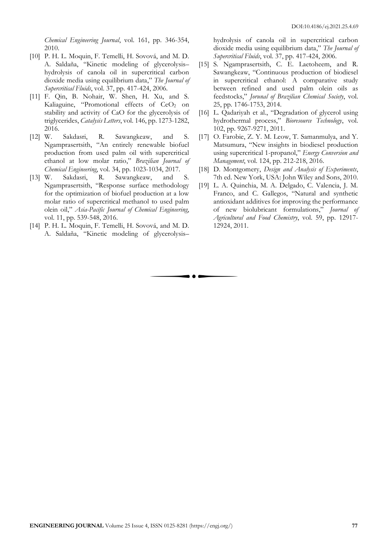*Chemical Engineering Journal*, vol. 161, pp. 346-354, 2010.

- [10] P. H. L. Moquin, F. Temelli, H. Sovová, and M. D. A. Saldaña, "Kinetic modeling of glycerolysis– hydrolysis of canola oil in supercritical carbon dioxide media using equilibrium data," *The Journal of Supercritical Fluids*, vol. 37, pp. 417-424, 2006.
- [11] F. Qin, B. Nohair, W. Shen, H. Xu, and S. Kaliaguine, "Promotional effects of CeO<sub>2</sub> on stability and activity of CaO for the glycerolysis of triglycerides, *Catalysis Letters*, vol. 146, pp. 1273-1282, 2016.
- [12] W. Sakdasri, R. Sawangkeaw, and S. Ngamprasertsith, "An entirely renewable biofuel production from used palm oil with supercritical ethanol at low molar ratio," *Brazilian Journal of Chemical Engineering*, vol. 34, pp. 1023-1034, 2017.
- [13] W. Sakdasri, R. Sawangkeaw, and S. Ngamprasertsith, "Response surface methodology for the optimization of biofuel production at a low molar ratio of supercritical methanol to used palm olein oil," *Asia-Pacific Journal of Chemical Engineering*, vol. 11, pp. 539-548, 2016.
- [14] P. H. L. Moquin, F. Temelli, H. Sovová, and M. D. A. Saldaña, "Kinetic modeling of glycerolysis–

hydrolysis of canola oil in supercritical carbon dioxide media using equilibrium data," *The Journal of Supercritical Fluids*, vol. 37, pp. 417-424, 2006.

- [15] S. Ngamprasertsith, C. E. Laetoheem, and R. Sawangkeaw, "Continuous production of biodiesel in supercritical ethanol: A comparative study between refined and used palm olein oils as feedstocks," *Jorunal of Brazilian Chemical Society*, vol. 25, pp. 1746-1753, 2014.
- [16] L. Qadariyah et al., "Degradation of glycerol using hydrothermal process," *Bioresource Technology*, vol. 102, pp. 9267-9271, 2011.
- [17] O. Farobie, Z. Y. M. Leow, T. Samanmulya, and Y. Matsumura, "New insights in biodiesel production using supercritical 1-propanol," *Energy Conversion and Management*, vol. 124, pp. 212-218, 2016.
- [18] D. Montgomery, *Design and Analysis of Experiments*, 7th ed. New York, USA: John Wiley and Sons, 2010.
- [19] L. A. Quinchia, M. A. Delgado, C. Valencia, J. M. Franco, and C. Gallegos, "Natural and synthetic antioxidant additives for improving the performance of new biolubricant formulations," *Journal of Agricultural and Food Chemistry*, vol. 59, pp. 12917- 12924, 2011.